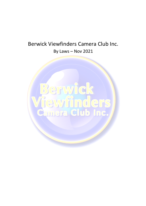# Berwick Viewfinders Camera Club Inc. By Laws – Nov 2021

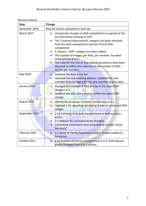| Date           | Change                                                                                                                                                                                                                                                                                                                                                                                                                                                                                                                                                 |  |
|----------------|--------------------------------------------------------------------------------------------------------------------------------------------------------------------------------------------------------------------------------------------------------------------------------------------------------------------------------------------------------------------------------------------------------------------------------------------------------------------------------------------------------------------------------------------------------|--|
| November 2016  | Revised version uploaded to web site                                                                                                                                                                                                                                                                                                                                                                                                                                                                                                                   |  |
| March 2017     | Incorporate changes to AGG competitions as agreed at the<br>$\bullet$<br>1st committee meeting of 2017.<br>The 'Creative/Experimental' category has been removed<br>$\bullet$<br>from the AGG competitions and the Print & Slide<br>competition.<br>A 'Novice - EDPI' category has been added.<br>$\bullet$<br>The number of images, per AGG, per member, has been<br>$\bullet$<br>reduced from 8 to 6.<br>The rules for the End of Year award calculations have been<br>adjusted to reflect the reduction in the number of AGG<br>entries per member. |  |
| May 2019       | Updated the door entry fee.<br>Updated the club meeting address. Updated the new<br>$\bullet$<br>member form to align with the new member starter pack.                                                                                                                                                                                                                                                                                                                                                                                                |  |
| January 2020   | Changed the number of AGG entries in the Open EDPI<br>category to 2<br>Updated the AGG entry form to reflect the Open EDPI<br>change                                                                                                                                                                                                                                                                                                                                                                                                                   |  |
| August 2020    | Altered fee structure re family membership in 1.1.<br>Updated 2.12 regarding identifying marks on prints and EDPI<br>$\bullet$<br>images.                                                                                                                                                                                                                                                                                                                                                                                                              |  |
| September 2020 | 2.14.2 altered to include monochrome as well as colour<br>$\bullet$<br>prints.<br>3.1 Address for correspondence changed.<br>$\bullet$<br>Committee nomination form amended to include "Social<br>Secretary"                                                                                                                                                                                                                                                                                                                                           |  |
| February 2021  | 1.1 Detail re Family/Dependant added. Student added to<br>Pensioner.                                                                                                                                                                                                                                                                                                                                                                                                                                                                                   |  |
| October 2021   | 2.10 Number of entries changed from 6 to 3. EDPI (Novice<br>grade) changed from 4 to 3 entries.                                                                                                                                                                                                                                                                                                                                                                                                                                                        |  |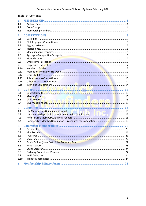### Berwick Viewfinders Camera Club Inc. By Laws February 2021

|              | Table of Contents |  |
|--------------|-------------------|--|
| 1.           |                   |  |
| 1.1          |                   |  |
| 1.2          |                   |  |
| 1.3          |                   |  |
| 2.           |                   |  |
| 2.1          |                   |  |
| 2.2          |                   |  |
| 2.3          |                   |  |
| 2.4          |                   |  |
| 2.5          |                   |  |
| 2.6          |                   |  |
| 2.7          |                   |  |
| 2.8          |                   |  |
| 2.9          |                   |  |
| 2.10         |                   |  |
| 2.11         |                   |  |
| 2.12         |                   |  |
| 2.13<br>2.14 |                   |  |
| 2.15         |                   |  |
|              |                   |  |
| 3.           | General 15        |  |
| 3.1          |                   |  |
| 3.2          |                   |  |
| 3.3          |                   |  |
| 3.4          |                   |  |
| 4.           |                   |  |
| 4.1          |                   |  |
| 4.2          |                   |  |
| 4.3          |                   |  |
| 4.4          |                   |  |
| 5.           |                   |  |
| 5.1          |                   |  |
| 5.2          |                   |  |
| 5.3          |                   |  |
| 5.4          |                   |  |
| 5.5          |                   |  |
| 5.6          |                   |  |
| 5.7          |                   |  |
| 5.8          |                   |  |
| 5.9          |                   |  |
| 5.10         |                   |  |
| 6.           |                   |  |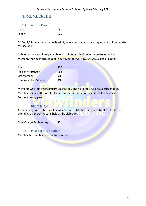# 1. MEMBERSHIP

| 1.1       | <b>Annual Fees</b> |  |
|-----------|--------------------|--|
| ı yıllı y |                    |  |

| Adult  | \$50 |
|--------|------|
| Family | \$60 |

A "Family" is regarded as a single adult, or as a couple, and their dependant children under the age of 18.

(When one or more family members are either a Life Member or an Honorary Life Member, then each subsequent Family Member will have an Annual Fee of \$10.00)

| Junior               | \$35         |
|----------------------|--------------|
| Pensioner/Student    | \$35         |
| Life Member          | <b>\$Nil</b> |
| Honorary Life Member | <b>\$Nil</b> |

Members who join after January 1st shall pay one half of the full annual subscription. Members joining after April 1st shall pay the full subscription and shall be financial For the ensuing year.

# 1.2 Door Charge

A door charge is payable by all members (except Life Members) and by all visitors when attending a general meeting held at the clubroom.

Door Charge Per Meeting \$2

# 1.3 Membership Numbers

Membership numbers are not to be reused.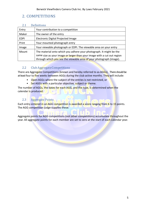# 2. COMPETITIONS

| 2.1         | <b>Definitions</b>                                                      |  |
|-------------|-------------------------------------------------------------------------|--|
| Entry       | Your contribution to a competition                                      |  |
| Maker       | The owner of the entry                                                  |  |
| <b>EDPI</b> | Electronic Digital Projected Image                                      |  |
| Print       | Your mounted photograph entry                                           |  |
| Image       | Your viewable photograph or EDPI. The viewable area on your entry       |  |
| Mount       | The material onto which you adhere your photograph. It might be the     |  |
|             | same size as your image or larger than your image with a cut out region |  |
|             | through which you see the viewable area of your photograph (image).     |  |

# 2.2 Club Aggregate Competitions

There are Aggregate Competitions (known and hereby referred to as AGGs). There should be at least four to five weeks between AGGs during the club active months. They will include:

- Open AGGs where the subject of the entries is not restricted, or
- Set AGGs with a particular objective, subject or theme.

The number of AGGs, the dates for each AGG, and the type, is determined when the calendar is produced.

# 2.3 Aggregate Points

Each entry entered in an AGG competition is awarded a score ranging from 6 to 15 points. The AGG competition judge supplies these.

Aggregate points for AGG competitions (not other competitions) accumulate throughout the year. All aggregate points for each member are set to zero at the start of each calendar year.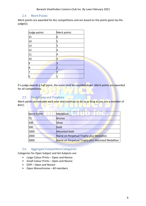### 2.4 Merit Points

Merit points are awarded for ALL competitions and are based on the points given by the judge(s).

| Judge points | Merit points   |
|--------------|----------------|
| 15           | 6              |
| 14           | 5              |
| 13           | 5              |
| 12           | 4              |
| 11           | 4              |
| 10           | 3              |
| q            | 3              |
| 8            | $\mathbf{z}$   |
|              | $\overline{2}$ |
| 6            |                |

If a judge awards a half point, the score shall be rounded down. Merit points are awarded for all competitions.

# 2.5 Medallionsand Trophies

Merit points accumulate each year and continue to do so as long as you are a member of BVCC.

| <b>Merit Points</b> | Medallion                                       |  |
|---------------------|-------------------------------------------------|--|
| 75                  | Bronze                                          |  |
| 200                 | Silver                                          |  |
| 500                 | Gold                                            |  |
| 1000                | <b>Mounted Gold</b>                             |  |
| 2000                | Name on Perpetual Trophy plus Medallion         |  |
| 3000                | Name on Perpetual Trophy plus Mounted Medallion |  |

# 2.6 Aggregate Competition Categories

Categories for Open Subject and Set Subjects are:

- Large Colour Prints Open and Novice
- Small Colour Prints Open and Novice
- EDPI Open and Novice
- Open Monochrome All members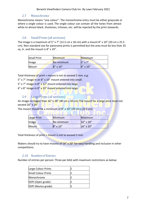### 2.7 Monochrome

Monochrome means ''one colour''. The monochrome entry must be either grayscale or where a single colour is used. The single colour can contain all the tones from almost white to almost black. Duotones, tritones, etc. will be rejected by the print stewards.

# 2.8 Small Prints (all sections)

The image is a maximum of 5" x 7" (12.5 cm x 18 cm) with a mount 8" x 10" (20 cm x 25.5) cm). Non-standard size for panorama prints is permitted but the area must be less than 35 sq. in. and the mount is 8" x 10".

| <b>Small Print</b> | <b>Minimum</b>    | Maximum           |
|--------------------|-------------------|-------------------|
| <b>I</b> mage      | No minimum        | $5'' \times 7''$  |
| Mount              | $8'' \times 10''$ | $8'' \times 10''$ |

Total thickness of print + mount is not to exceed 5 mm. e.g:

- 5" x 7" image in an 8" x 10" mount entered into small.
- 5" x 7" image in 8" x 12" mount entered into large
- 6" x 8" image in 8" x 10" mount entered into large

# 2.9 Large Prints (all sections)

An image no bigger than  $16''$  x 20" (40 cm x 50 cm) The mount for a large print must not exceed 16" x 20"

The mount should be a minimum of 8" x 10" (20 cm x 25.5 cm)

| Large Print      | Minimum           | Maximum   |
|------------------|-------------------|-----------|
| $\parallel$ mage | No minimum        | 16" x 20" |
| Mount            | $8'' \times 10''$ | 16" x 20" |

Total thickness of print  $+$  mount is not to exceed 5 mm.

Makers should try to have mounts of  $16''$  x 20" for easy handling and inclusion in other competitions.

### 2.10 Numberof Entries

Number of entries per person: Three per AGG with maximum restrictions as below:

| Large Colour Prints        |  |
|----------------------------|--|
| <b>Small Colour Prints</b> |  |
| Monochrome                 |  |
| EDPI (Open grade)          |  |
| EDPI (Novice grade)        |  |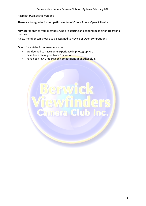Aggregate CompetitionGrades

There are two grades for competition entry of Colour Prints: Open & Novice

**Novice**: for entries from members who are starting and continuing their photographic journey

A new member can choose to be assigned to Novice or Open competitions.

**Open**: for entries from members who:

- are deemed to have some experience in photography, or
- have been reassigned from Novice, or
- have been in A Grade/Open competitions at another club.

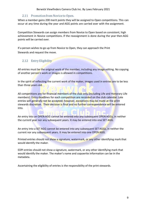# 2.11 Promotion from Novice to Open.

When a member gains 200 merit points they will be assigned to Open competitions. This can occur at any time during the year and AGG points are carried over with the assignment.

Competition Stewards can assign members from Novice to Open based on consistent, high achievement in Novice competitions. If the reassignment is done during the year then AGG points will be carried over.

If a person wishes to go up from Novice to Open, they can approach the Print Stewards and request the move.

# 2.12 Entry Eligibility

All entries must be the original work of the member, including any image editing. No copying of another person's work or images is allowed in competitions.

In the spirit of reflecting the current work of the maker, images used in entries are to be less than three years old.

All competitions are for financial members of the club only (including Life and Honorary Life members). Entry deadlines for each competition are recorded on the club calendar. Late entries will generally not be accepted; however, exceptions may be made at the print stewards discretion. Their decision is final and no further correspondence will be entered into.

An entry into an OPEN AGG cannot be entered into any subsequent OPEN AGGs, in neither the current year nor any subsequent years. It may be entered into one SET AGG.

An entry into a SET AGG cannot be entered into any subsequent SET AGGs, in neither the current nor any subsequent years. It may be entered into one OPEN AGG.

Printed entries should not show a signature, watermark, or any other identifying mark that would identify the maker.

EDPI entries should not show a signature, watermark, or any other identifying mark that would identify the maker. The maker's name and copywrite information can be in the metadata.

Ascertaining the eligibility of entries is the responsibility of the print stewards.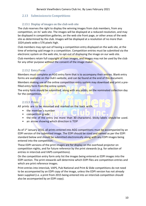### 2.13 Submissions to Competitions

### 2.13.1 Display of images on the club web site

The club reserves the right to display the winning images from club members, from any competition, on its' web site. The images will be displayed at a reduced resolution, and may be displayed in competition galleries, on the web site front page, or other areas of the web site as determined by the club. Images will be displayed at a resolution of no more than 1024 pixels wide x 576 pixels high.

Club members may opt-out of having a competition entry displayed on the web site, at the time of entering said image in a competition. Competition entries must be submitted via the electronic system on the web site, to opt-out of displaying the image on our web site.

Club members retain full copyright of their images, and images may not be used by the club for any other purpose without the consent of the image maker.

### 2.13.2 Entry Form

Members must complete an AGG entry form that is to accompany their entries. Blank entry forms are available on the club's website, and can be found at the end of this document.

Members making use of the online competition entry system may download and print a prefilled entry form from the online system.

The entry form should be submitted, along with any prints, on the nominated collection day for the competition.

### 2.13.3 Prints

All prints are to be mounted and marked on the back with:

- the member's number
- competition grade
- the title of the entry (no more than 30 characters). Sticky labels should be used.
- an arrow showing which direction is TOP

As of 1<sup>st</sup> January 2016, all prints entered into AGG competitions must be accompanied by an EDPI version of the submitted image. The EDPI should be sized and named as per the EDPI standard below and should be submitted electronically along with any EDPI images being entered into the competition.

These EDPI versions of the print images are for display on the overhead projector on competition nights, and for future reference by the print stewards (e.g. for selection of entries in interclub and VAPS competitions).

On the competition entry form only list the images being entered as EDPI images into the EDPI section. The print stewards will determine which EDPI files are competition entries and which are print reference images.

Print entries into interclub, VAPS, Pub National and Print & Slide competitions do not need to be accompanied by an EDPI copy of the image, unless the EDPI version has not already been supplied (i.e. a print from 2015 being entered into an interclub competition should also be accompanied by an EDPI copy).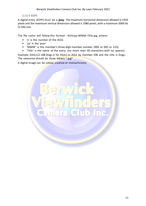#### 2.13.4 EDPI

A digital entry (EDPI) must be a **jpeg.** The maximum horizontal dimension allowed is 1920 pixels and the maximum vertical dimension allowed is 1080 pixels, with a maximum 5000 kb (5 mb) size.

The file name will follow this format - AGGxyy-MMM-Title.jpg, where:

- 'x' is the number of the AGG
- 'yy' is the year
- 'MMM' is the member's three-digit member number. (004 or 045 or 123)
- 'Title' is the name of the entry. (no more than 30 characters with no spaces)

ra Club

ider

Example: AGG112-108-Dogs is for AGG1 in 2012 by member 108 and the title is Dogs. The extension should be three letters ".jpg"

A digital image can be colour, creative or monochrome.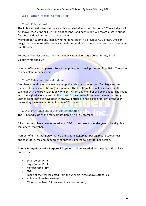# 2.14 Other Internal Competitions

### 2.14.1 Pub National

The Pub National is held in June and is modeled after a real ''National''. Three judges will be shown each print or EDPI for eight seconds and each judge will award a score out of five. Pub National entries earn merit points.

Members can submit any image, whether it has been in a previous AGG or not. Once an image has been entered in a Pub National competition it cannot be entered in a subsequent Pub National.

Perpetual Trophies are awarded in the Pub National for Large Colour Prints, Small Colour Prints and EDPI.

Number of images per person: Four Large prints, four Small prints and four EDPI. The prints can be colour, monochrome.

# 2.14.2 Calendar(Internal Judging)

Members attending on the evening judge the calendar competition. Two large entries (either colour or monochrome) per member. The top 12 makers will be included in the calendar with the proviso that only one entry from any member will be included. The image with the highest score is used as the cover. Entries can be from financial members only. Entries do not have to have been in an AGG. Entries are not eligible for Print of the Year unless they have been entered into an AGG as well.

### 2.14.3 Print and Slide of the Year Competition

The Print and Slide of the Year competition is held in December.

All entries must have been entered in an AGG in the current calendar year to be eligible -January to December.

Number of entries per person is two prints per category (as per aggregate categories) and four EDPIs. Maximum number of entries is limited to eight (8) per person.

**Annual Print/Merit point Perpetual Trophies** shall be awarded for the judged first place entries for:

- Small Colour Print
- Large Colour Print
- Monochrome Print
- EDPI
- Image of the Year (selected from the winners in the above categories)
- Nola Hamilton-Stone Award
- "Good on Ya Award" (This award has been retired)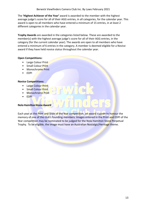The **'Highest Achiever of the Year'** award is awarded to the member with the highest average judge's score for all of their AGG entries, in all categories, for the calendar year. This award is open to all members who have entered a minimum of 15 entries, in at least 2 different categories in the calendar year.

**Trophy Awards** are awarded in the categories listed below. These are awarded to the member(s) with the highest average judge's score for all of their AGG entries, in the category (for the current calendar year). The awards are open to all members who have entered a minimum of 6 entries in the category. A member is deemed eligible for a Novice award if they have held novice status throughout the calendar year.

#### **Open Competitions:**

- Large Colour Print
- Small Colour Print
- Monochrome Print
- EDPI

#### **Novice Competitions:**

- Large Colour Print
- Small Colour Print
- Monochrome Print
- EDPI

#### **Nola HamiltonStoneAward**

Each year at the Print and Slide of the Year competition, an award is given to honour the memory of one of the club's founding members. Images entered in the Print and EDPI of the Year competition may be nominated to be judged for the Nola Hamilton Stone Perpetual Trophy. To be eligible, the image must have an Australian Nostalgic/Heritage theme.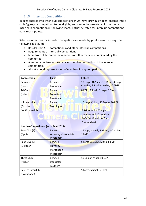### 2.15 Inter-club Competitions

Images entered into inter-club competitions must have previously been entered into a club Aggregate competition to be eligible, and cannot be re-entered in the same inter-club competition in following years. Entries selected for interclub competitions earn merit points.

Selection of entries for interclub competitions is made by print stewards using the following as a guide:

- Results from AGG competitions and other interclub competitions.
- Requirements of interclub competitions
- Input from club committee members or other members nominated by the committee
- A maximum of two entries per club member per section of the interclub competition.

| <b>Competition</b>                             | <b>Clubs</b>       | <b>Entries</b>                        |
|------------------------------------------------|--------------------|---------------------------------------|
| Pakwick                                        | <b>Berwick</b>     | 10 Large, 10 Small, 10 Mono, 4 Large  |
| (June)                                         | Pakenham           | Creative, 4 Small Creative, 10 EDPI   |
| Tri Club                                       | <b>Berwick</b>     | 8 EDPI, 8 Small, 8 Large, 8 Mono      |
| (July)                                         | <b>Frankston</b>   |                                       |
|                                                | Pakenham           |                                       |
| <b>Hills and Vines</b>                         | <b>Berwick</b>     | 10 Large Colour, 10 Mono, 10 EDPI     |
| (October)                                      | Mornington         |                                       |
| <b>VAPS Interclub</b>                          |                    | 2 Prints and 2 EDPI per               |
|                                                |                    | member and 15 per club.               |
|                                                | mera               | <b>Refer VAPS website for</b>         |
|                                                |                    | further details.                      |
| <b>Inactive Competitions (as of Sept 2016)</b> |                    |                                       |
| Four Club (1)                                  | <b>Berwick</b>     | 2 Large, 2 Small, 2 Mono, 2 Creative, |
| (April)                                        | Waverley Maroondah | $4$ FDPI                              |
|                                                | <b>Moorabbin</b>   |                                       |
| Four Club $(2)$                                | <b>Berwick</b>     | 6 Large Colour, 6 Mono, 6 EDPI        |
| (October)                                      | <b>Waverley</b>    |                                       |
|                                                | Maroondah          |                                       |
|                                                | Moorabbin          |                                       |
| <b>Three Club</b>                              | <b>Berwick</b>     | 10 Colour Prints, 10 EDPI             |
| (August)                                       | <b>Doncaster</b>   |                                       |
|                                                | Southern           |                                       |
| <b>Eastern Interclub</b>                       |                    | 5 Large, 5 Small, 5 EDPI              |
| (Invitational)                                 |                    |                                       |

• Aim at a good representation of members in any competition.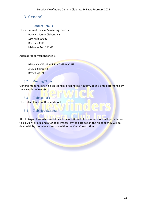# 3. General

### 3.1 ContactDetails

The address of the club's meeting room is:

Berwick Senior Citizens Hall 110 High Street Berwick 3806 Melways Ref: 111 d8

Address for correspondence is:

BERWICK VIEWFINDERS CAMERA CLUB 3430 Ballarto Rd Bayles Vic 3981

### 3.2 MeetingTimes

General meetings are held on Monday evenings at 7.30 pm, or at a time determined by the calendar of events

# 3.3 Club Colours

The club colours are Blue and Gold.

# 3.4 Club Model Shoots

All photographers who participate in a sanctioned club model shoot will provide four to six 5"x7" prints, and a CD of all images, by the date set on the night or they will be dealt with by the relevant section within the Club Constitution.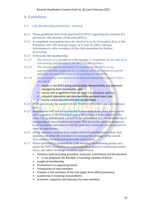# 4. Guidelines

# 4.1 Life MembershipGuidelines - General

- 4.1.1 These guidelines have been approved by BVCC, regarding the election of a person as a life member of the club (BVCC).
- 4.1.2 A completed nomination form for election is to be forwarded, first, to the President who will forward copies of it and all other relevant information to other members of the club committee for further processing.
- 4.1.3 Criteria for life membership:
- **4.1.3.1** The election of a member as a life member is recognition by the club of an *outstanding contribution to the BVCC by that member.*
- 4.1.3.2 This honour may be bestowed on a member by the BVCC at any appropriate time, subject to 4.1.3.3 below, and is not linked necessarily with that person's retirement from a position in the BVCC.
- *4.1.3.3 An outstanding contribution to the Berwick Viewfinders Camera Club is one which:*
	- results in the BVCC being substantially, demonstrably and positively changed by that contribution, and
	- occurs over a significant time (at least 5 to 10 years), and has
	- required substantial and commendable personal input, and
	- can be clearly documented and corroborated.
- 4.1.4 BVCC can decide the number of Life Members elected in any one Calendar year.
- 4.1.5 Nominations will not be considered if more than three years have passed (in the opinion of the President) since the primary component(s) of the outstanding contribution (on which the nomination for Life membership is being judged) was completed or made. This places the onus on proposers to act promptly and ensures that the potential recipients are recognised as soon as appropriate.
- 4.1.6 All life members need to have made a level of contribution to their club similar to all other life members to maintain the prestige of the award. This needs to be demonstrated in the submission.
- 4.1.7 When submitting a proposal for a life member, the following points may assist the BVCC Committee in evaluating the proposal. A submission under these, and other, headings would be appreciated:
	- Positions held (including president, treasurer, committee) and the duration • Is the proposed Life Member a Founding member of BVCC?
	- Length of membership
	- Involvement on organizing events
	- Introduction of new members
	- A leader in the activities of the club (apart from official positions)
	- Leadership in resolving club problems
	- A mentor, supporter and educator for new members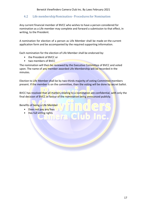# 4.2 Life membership Nomination - Procedures for Nomination

Any current financial member of BVCC who wishes to have a person considered for nomination as a Life member may complete and forward a submission to that effect, in writing, to the President.

A nomination for election of a person as Life Member shall be made on the current application form and be accompanied by the required supporting information.

Each nomination for the election of Life Member shall be endorsed by:

- the President of BVCC or
- two members of BVCC

The nomination will then be reviewed by the Executive Committee of BVCC and voted upon. The name of any member awarded Life Membership will be recorded in the minutes.

Election to Life Member shall be by two-thirds majority of voting Committee members present. If the member is on the committee, then the voting will be done by secret ballot.

BVCC has resolved that all matters relating to a nomination are confidential, with only the final decision of BVCC in favour of the nomination being announced publicly.

Benefits of being a Life Member

- Does not pay any fees
- Has full voting rights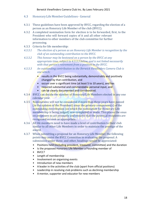- 4.3 HonoraryLife MemberGuidelines General
- 4.3.1 These guidelines have been approved by BVCC, regarding the election of a person as an Honorary Life Member of the club (BVCC).
- 4.3.2 A completed nomination form for election is to be forwarded, first, to the President who will forward copies of it and all other relevant information to other members of the club committee for further processing.
- 4.3.3 Criteria for life membership:
- 4.3.3.1 The election of a person as an Honorary Life Member is recognition by the *club* of an outstanding contribution to the BVCC.
- 4.3.3.2 This honour may be bestowed on a person by the BVCC at any *appropriate time, subject to 4.3.3.3 below, and is not linked necessarily* with that person's retirement from a position in the BVCC.
- *4.3.3.3 An outstanding contribution to the Berwick Viewfinders Camera Club is one which:*
	- results in the BVCC being substantially, demonstrably and positively changed by that contribution, and
	- occurs over a significant time (at least 5 to 10 years), and has
	- required substantial and commendable personal input, and
	- can be clearly documented and corroborated.
- 4.3.4 BVCC can decide the number of Honorary Life Members elected in any one calendar year.
- 4.3.5 Nominations will not be considered if more than three years have passed (in the opinion of the President) since the primary component(s) of the outstanding contribution (on which the nomination for Honorary Life membership is being judged) was completed or made. This places the onus on proposers to act promptly and ensures that the potential recipients are recognised as soon as appropriate.
- 4.3.6 All life members need to have made a level of contribution to their club similar to all other Life Members in order to maintain the prestige of the award.
- 4.3.7 When submitting a proposal for an Honorary Life Member, the following points may assist the BVCC Committee in evaluating the proposal. A submission under these, and other, headings would be appreciated:
	- Positions held (including president, treasurer, committee) and the duration
	- Is the proposed Honorary Life Member a Founding member of
	- BVCC?
	- Length of membership
	- Involvement on organising events
	- Introduction of new members
	- A leader in the activities of the club (apart from official positions)
	- Leadership in resolving club problems such as declining membership
	- A mentor, supporter and educator for new members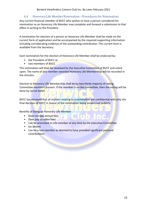# 4.4 Honorary Life Member Nomination - Procedures for Nomination

Any current financial member of BVCC who wishes to have a person considered for nomination as an Honorary Life Member may complete and forward a submission to that effect in writing to the President.

A nomination for election of a person as Honorary Life Member shall be made on the current form of application and be accompanied by the required supporting information including corroborating evidence of the outstanding contribution. The current form is available from the Secretary.

Each nomination for the election of Honorary Life Member shall be endorsed by:

- the President of BVCC or
- two members of BVCC

The nomination will then be reviewed by the Executive Committee of BVCC and voted upon. The name of any member awarded Honorary Life Membership will be recorded in the minutes.

Election to Honorary Life Membership shall be by two-thirds majority of voting Committee members present. If the member is on the committee, then the voting will be done by secret ballot.

BVCC has resolved that all matters relating to a nomination are confidential with only the final decision of BVCC in favour of the nomination being announced publicly.

Benefits of being an Honorary Life Member

- Does not pay annual fees
- Does pay all other fees
- Can be promoted to Life member at any time by the Executive Committee
- (as above)
- Can be a non-member as deemed to have provided significant personal contributions.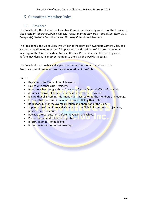# 5. Committee Member Roles

# 5.1 President

The President is the chair of the Executive Committee. This body consists of the President, Vice President, Secretary/Public Officer, Treasurer, Print Steward(s), Social Secretary, VAPS Delegate(s), Website Coordinator and Ordinary Committee Members.

The President is the Chief Executive Officer of the Berwick Viewfinders Camera Club, and is thus responsible for its successful operation and direction. He/she presides over all meetings of the Club. In his/her absence, the Vice President chairs the meetings, and he/she may designate another member to the chair the weekly meetings.

The President coordinates and supervises the functions of all members of the Executive committee to ensure smooth operation of the Club.

#### Duties

- Represents the Club at Interclub events.
- Liaises with other Club Presidents.
- Be responsible, along with the Treasurer, for the financial affairs of the Club.
- Assumes the role of Treasurer in the absence of the Treasurer.
- Ensure that all incoming information gets passed on to the members at meetings.
- Ensures that the committee members are fulfilling their roles.
- Be responsible for the overall direction and operation of the Club.
- Supports the Committee and Members of the Club, in its purposes, objectives, policies, and procedures.
- Reviews the Constitution before the A.G.M. of each year.
- Presents ideas and solutions to problems.
- Informs members of decisions.
- Informs members of future meetings.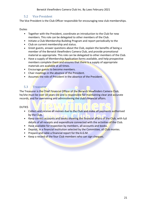### 5.2 Vice President

The Vice President is the Club Officer responsible for encouraging new club memberships.

#### Duties

- Together with the President, coordinate an introduction to the Club for new members. This role can be delegated to other members of the Club.
- Initiate a Club Membership Building Program and report periodically to the
- Club on current membership and status.
- Greet guests, answer questions about the Club, explain the benefits of being a member of the Berwick Viewfinders Camera Club, and provide promotional material as appropriate. This role can be delegated to other members of the Club.
- Have a supply of Membership Application forms available, and help prospective members complete them and ensures that there is a supply of appropriate materials are available at all times.
- Encourage guests to become members.
- Chair meetings in the absence of the President.
- Assumes the role of President in the absence of the President.

# 5.3 Treasurer

The Treasurer is the Chief Financial Officer of the Berwick Viewfinders Camera Club; he/she must be over 18 years old and is responsible for maintaining clear and accurate records, and for overseeing and administering the club's financial affairs.

#### DUTIES

- Collect and receive all monies due to the Club and make all payments authorised by the Club.
- Keep correct accounts and books showing the financial affairs of the Club, with full details of all receipts and expenditure connected with the activities of the Club.
- Have available for inspection by members, all accounts and books.
- Deposit, in a financial institution selected by the Committee, all Club monies.
- Prepare and table a financial report for the A.G.M.
- Keep a record of the four Club members who can sign cheques.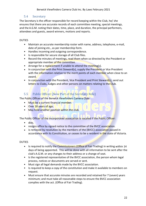### 5.4 Secretary

The Secretary is the officer responsible for record keeping within the Club, he/ she ensures that there are accurate records of each committee meeting, special meetings, and the A.G.M. noting their dates, time, place, and duration, the principal performers, attendees and guests, award winners, motions and reports.

#### DUTIES

- Maintain an accurate membership roster with name, address, telephone, e-mail, date of joining etc., as per membership form.
- Handles incoming and outgoing correspondence.
- Is responsible for secure storage of all Club files.
- Record the minutes of meetings, read them when so directed by the President or appropriate member of the committee.
- Arrange for a replacement if unable to attend the meeting(s).
- In conjunction with the Print Steward(s), supply the President or Vice President with the information relative to the merit points of each member when close to an award.
- In conjunction with the President, Vice President and Print Steward(s), send out letters to Clubs, Judges and other persons on matters relating to the Club.

# 5.5 Public Officer (Now Part of the Secretary Role)

The Public Officer of the Berwick Viewfinders Camera Club:

Must be a current financial member.

D

- Over 18 years of age.
- May hold another position within the club.

The Public Officer of the incorporated association is vacated if the Public Officer:

- dies.
- resigns office by signed notice to the committee of the BVCC association.
- is removed by resolution by the members of the (BVCC) association passed in accordance with its Constitution, or ceases to be a resident in the state of Victoria.

#### DUTIES

- Is required to notify the Commissioners (Office of Fair Trading) in writing within 14 days of being appointed. This will be done with all information to be sent after the club's A.G.M. or any changes to their address or a change of seat.
- Is the registered representative of the BVCC association, the person whom legal process, notices or documents are served or sent.
- Must sign all legal demands made by the BVCC association.
- Is required to keep a copy of the constitution and make it available to members on request.
- Must ensure that accurate minutes are recorded and retained for 7 (seven) years minimum; and must take all reasonable steps to ensure the BVCC association complies with the act. (Office of Fair Trading).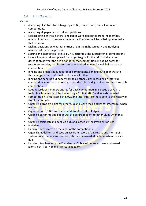### 5.6 Print Steward

#### **DUTIES**

- Accepting all entries to Club aggregates & (competitions) and all interclub competitions.
- Accepting all paper work to all competitions.
- Not accepting entries if there is no paper work completed from the member, unless of certain circumstances where the President will be called upon to make that decision.
- Making decisions on whether entries are in the right category, and notifying members if there is a problem.
- Sorting and stamping all prints, EDPI Electronic slides (visual) for all competitions.
- Have all paperwork completed for judges to go with the prints and an exact description of what the definition is for that competition, including dates for results so trophies, certificates can be organised at least 1 week before date of competition.
- Ringing and organising Judges for all competitions, sending out paper work to those judges after confirmation of dates with them.
- Ringing and sending out paper work to all other Clubs regarding an interclub competition when we are hosting as per the rules and guidelines for that interclub competition.
- Keep records of members entries for each competition in a plastic sleeve in a folder (each sleeve must be marked e.g.  $= 1<sup>st</sup> AGG 2007$  and in texta) of what
- competition it is (this applies to AGG and interclubs) so these go into the history of the clubs records.
- Organise a drop off point for other Clubs to leave their entries for interclub's when we host.
- Organise prints/EDPI and paper work for drop off to Judges.
- Organise our prints and paper work to be dropped off to other Clubs when they host.
- Organise certificates to be filled out, and signed by the President or Vice
- President.
- Hand out certificates on the night of the competitions.
- Organise medallions and keep an accurate record of aggregate and merit point system, so all medallions, trophies, etc. can be awarded on time, when they are due.
- Hand out trophies with the President at Club level, Interclub level and award nights, e.g.- Pub/Nat and Print & Slide night.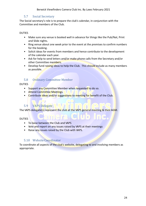### 5.7 Social Secretary

The Social secretary's role is to prepare the club's calendar, in conjunction with the Committee and members of the Club.

#### DUTIES

- Make sure any venue is booked well in advance for things like the Pub/Nat, Print and Slide nights.
- Ring venue about one week prior to the event at the premises to confirm numbers for the booking.
- Solicit ideas for events from members and hence contribute to the development of the calendar each year.
- Ask for help to send letters and/or make phone calls from the Secretary and/or other Committee members.
- Develop fund raising ideas to help the Club. This should include as many members as possible.

# 5.8 Ordinary Committee Member

**DUTIES** 

- Support any Committee Member when requested to do so.
- Attend Committee Meetings.
- Contribute ideas and/or suggestions to meeting for benefit of the Club.

# 5.9 VAPS Delegate

The VAPS delegate(s) represent the club at the VAPS general meeting & their AGM.

DUTIES

- To liaise between the Club and VAPS
- Vote and report on any issues raised by VAPS at their meetings
- Raise any issues raised by the Club with VAPS.

### 5.10 WebsiteCoordinator

To coordinate all aspects of the club's website, delegating to and involving members as appropriate.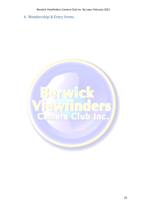6. Membership & Entry forms

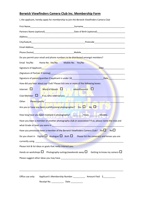# **Berwick Viewfinders Camera Club Inc. Membership Form**

| I, the applicant, hereby apply for membership to join the Berwick Viewfinders Camera Club                                                                                                                                                                                |  |  |  |  |
|--------------------------------------------------------------------------------------------------------------------------------------------------------------------------------------------------------------------------------------------------------------------------|--|--|--|--|
|                                                                                                                                                                                                                                                                          |  |  |  |  |
| Partners Name (optional)__________________________________Date of Birth (optional)____________________________                                                                                                                                                           |  |  |  |  |
|                                                                                                                                                                                                                                                                          |  |  |  |  |
|                                                                                                                                                                                                                                                                          |  |  |  |  |
|                                                                                                                                                                                                                                                                          |  |  |  |  |
|                                                                                                                                                                                                                                                                          |  |  |  |  |
| Do you permit your email and phone numbers to be distributed amongst members?                                                                                                                                                                                            |  |  |  |  |
| Email Yes/No Home No Yes/No Mobile No. Yes/No                                                                                                                                                                                                                            |  |  |  |  |
| Signature of Applicant <b>Contract Contract Contract Contract Contract Contract Contract Contract Contract Contract Contract Contract Contract Contract Contract Contract Contract Contract Contract Contract Contract Contract </b><br>Date<br>$\overline{\phantom{a}}$ |  |  |  |  |
|                                                                                                                                                                                                                                                                          |  |  |  |  |
|                                                                                                                                                                                                                                                                          |  |  |  |  |
| How did you hear about our Club? Please tick one or more of the following boxes:                                                                                                                                                                                         |  |  |  |  |
| Word of Mouth Number Advertisement<br>Internet $\Box$                                                                                                                                                                                                                    |  |  |  |  |
| Club Member <b>Q</b> If so, who referred you <b>CONTINGUMENT</b>                                                                                                                                                                                                         |  |  |  |  |
| Other Please specify <b>Contact Contact Contact Contact Contact Contact Contact Contact Contact Contact Contact Contact Contact Contact Contact Contact Contact Contact Contact Contact Contact Contact Contact Contact Contact </b><br>$\blacksquare$                   |  |  |  |  |
| Are you or have you been a professional photographer? Yes $\Box$ No $\Box$                                                                                                                                                                                               |  |  |  |  |
|                                                                                                                                                                                                                                                                          |  |  |  |  |
| Have you been a member of another photography club or association? If so, please name the club and                                                                                                                                                                       |  |  |  |  |
| what Grade or level you were in the contract of the contract of the contract of the contract of the contract of                                                                                                                                                          |  |  |  |  |
| Have you previously been a member of the Berwick Viewfinders Camera Club? Yes<br>No <sub>1</sub>                                                                                                                                                                         |  |  |  |  |
| Do you shoot in Digital $\Box$ Analogue $\Box$ Both $\Box$ Please list the camera(s) and lenses you are                                                                                                                                                                  |  |  |  |  |
|                                                                                                                                                                                                                                                                          |  |  |  |  |
| Please tick & list ideas or goals that really interest you.                                                                                                                                                                                                              |  |  |  |  |
| Hands on workshops $\square$ Photography outings/weekends away $\square$ Getting to know my camera $\square$                                                                                                                                                             |  |  |  |  |
|                                                                                                                                                                                                                                                                          |  |  |  |  |
|                                                                                                                                                                                                                                                                          |  |  |  |  |
| Applicant's Membership Number _______________ Amount Paid \$___________<br>Office use only:                                                                                                                                                                              |  |  |  |  |

Receipt No. \_\_\_\_\_\_\_\_\_\_\_\_\_\_ Date \_\_\_\_\_\_\_\_\_\_\_\_\_\_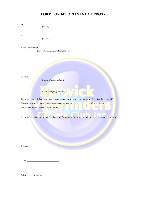# **FORM FOR APPOINTMENT OF PROXY**

| Ι,                                                                                                                  |
|---------------------------------------------------------------------------------------------------------------------|
| (name)                                                                                                              |
|                                                                                                                     |
|                                                                                                                     |
| of                                                                                                                  |
| (address)                                                                                                           |
|                                                                                                                     |
| being a member of                                                                                                   |
| (name of Incorporated Association)                                                                                  |
|                                                                                                                     |
|                                                                                                                     |
|                                                                                                                     |
|                                                                                                                     |
|                                                                                                                     |
|                                                                                                                     |
| appoint                                                                                                             |
| (name of proxy holder)                                                                                              |
|                                                                                                                     |
|                                                                                                                     |
| of                                                                                                                  |
| (address of proxy holder)                                                                                           |
|                                                                                                                     |
| being a member of that Incorporated Association, has my proxy to vote on my behalf at the *annual/                  |
| *special general meeting of the Association to be held on <b>the contract of meeting</b> ( <i>date of meeting</i> ) |
| and at any adjournment of that meeting.                                                                             |
|                                                                                                                     |
|                                                                                                                     |
| My proxy is authorised to vote *in favour of/*against the following resolution: [insert details of resolution]      |
|                                                                                                                     |
|                                                                                                                     |
|                                                                                                                     |
|                                                                                                                     |
|                                                                                                                     |
|                                                                                                                     |
|                                                                                                                     |
| Signed_                                                                                                             |
|                                                                                                                     |
|                                                                                                                     |
|                                                                                                                     |

|--|

\*Delete if not applicable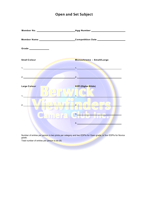# **Open and Set Subject**

| Member Name ___________________________Competition Date ________________________                                                                                                                                                                                                                                       |                                       |
|------------------------------------------------------------------------------------------------------------------------------------------------------------------------------------------------------------------------------------------------------------------------------------------------------------------------|---------------------------------------|
| Grade ______________                                                                                                                                                                                                                                                                                                   |                                       |
| <b>Small Colour</b>                                                                                                                                                                                                                                                                                                    | Monochrome - Small/Large              |
| $1.$ $\frac{1}{2}$ $\frac{1}{2}$ $\frac{1}{2}$ $\frac{1}{2}$ $\frac{1}{2}$ $\frac{1}{2}$ $\frac{1}{2}$ $\frac{1}{2}$ $\frac{1}{2}$ $\frac{1}{2}$ $\frac{1}{2}$ $\frac{1}{2}$ $\frac{1}{2}$ $\frac{1}{2}$ $\frac{1}{2}$ $\frac{1}{2}$ $\frac{1}{2}$ $\frac{1}{2}$ $\frac{1}{2}$ $\frac{1}{2}$ $\frac{1}{2}$ $\frac{1}{$ | 1.                                    |
| 2.                                                                                                                                                                                                                                                                                                                     | 2.                                    |
| Large Colour                                                                                                                                                                                                                                                                                                           | <b>EDPI (Digital Slide)</b><br>HU SAM |
| 1.<br>2.                                                                                                                                                                                                                                                                                                               | $\bigcap$<br>2.                       |
| <u>L'aumielra</u>                                                                                                                                                                                                                                                                                                      | 3.1 <sub>n</sub>                      |
|                                                                                                                                                                                                                                                                                                                        | $\overline{4.}$                       |

Number of entries per person is two prints per category and two EDPIs for Open grade, or four EDPIs for Novice grade.

Total number of entries per person is six (6)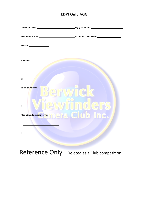# **EDPI Only AGG**

| Member Name ____________________________Competition Date __________________ |  |
|-----------------------------------------------------------------------------|--|
| Grade _______________                                                       |  |
|                                                                             |  |
| Colour                                                                      |  |
|                                                                             |  |
| 2.                                                                          |  |
| <b>Monochrome</b>                                                           |  |
| $1.$ $\blacksquare$                                                         |  |
| 2.                                                                          |  |
| <b>Creative/Experimental mera Club Inc.</b>                                 |  |
| 1.                                                                          |  |
| 2.                                                                          |  |
|                                                                             |  |

Reference Only - Deleted as a Club competition.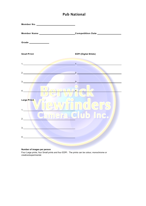# **Pub National**



**Number of images per person**

Four Large prints, four Small prints and four EDPI. The prints can be colour, monochrome or creative/experimental.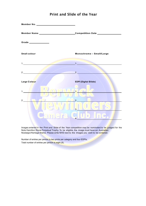

# **Print and Slide of the Year**

Images entered in the Print and Slide of the Year competition may be nominated to be judged for the Nola Hamilton Stone Perpetual Trophy. To be eligible, the image must have an Australian Nostalgic/Heritage theme. Please write NHS next to the images you wish to be entered.

Number of entries per person is two prints per category and four EDPIs. Total number of entries per person is eight (8).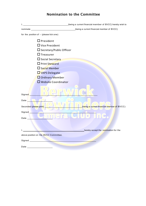|                                                                                                               | nominate ___________________________________(being a current financial member of BVCC) |  |
|---------------------------------------------------------------------------------------------------------------|----------------------------------------------------------------------------------------|--|
| for the position of $-$ (please tick one)                                                                     |                                                                                        |  |
| $\Box$ President<br>$\Box$ Vice President                                                                     |                                                                                        |  |
| $\Box$ Secretary/Public Officer                                                                               |                                                                                        |  |
| $\square$ Treasurer                                                                                           |                                                                                        |  |
| $\Box$ Social Secretary                                                                                       |                                                                                        |  |
| □ Print Steward                                                                                               |                                                                                        |  |
| $\Box$ Social Member                                                                                          |                                                                                        |  |
| VAPS Delegate                                                                                                 |                                                                                        |  |
| Ordinary Member                                                                                               |                                                                                        |  |
| $\Box$ Website Coordinator                                                                                    |                                                                                        |  |
| Signed <sub>_</sub>                                                                                           |                                                                                        |  |
| Date                                                                                                          |                                                                                        |  |
| Seconded (please print)                                                                                       | (being a current financial member of BVCC)                                             |  |
| Signed ___                                                                                                    |                                                                                        |  |
| amne<br>Date $\_\_$                                                                                           | <b>Elub Inc.</b>                                                                       |  |
|                                                                                                               |                                                                                        |  |
|                                                                                                               | hereby accept the nomination for the                                                   |  |
| above position on the BVCC Committee.                                                                         |                                                                                        |  |
|                                                                                                               |                                                                                        |  |
| Date and the state of the state of the state of the state of the state of the state of the state of the state |                                                                                        |  |

# **Nomination to the Committee**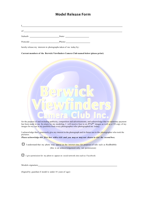# **Model Release Form**

I of

Suburb: Suburb: State: State: State: State: State: State: State: State: State: State: State: State: State: State: State: State: State: State: State: State: State: State: State: State: State: State: State: State: State: Sta

Postcode: Phone:

hereby release my interests in photographs taken of me today by:

**Current members of the Berwick Viewfinders Camera Club named below (please print)**



for the purpose of and including publicity, competition and advertisements, and acknowledge that no monetary payment has been made to me. In return for my modeling, I will receive four to six **5"x7"** images as well as a CD copy of my images for my use in my portfolio from every photographer who photographed me today.

I acknowledge that I generously give my interest in the photograph and its future use to the photographer who took the pictures.

*Please acknowledge this first box with a tick and you may or may not choose to tick the second box.*

 $\Box$  I understand that my photo may appear on the internet sites for purposes of sale such as RedBubble (this is an acknowledgement only, not permission)

 $\Box$  I give permission for my photo to appear on social network sites such as Facebook

Models signature

(Signed by guardian if model is under 18 years of age)